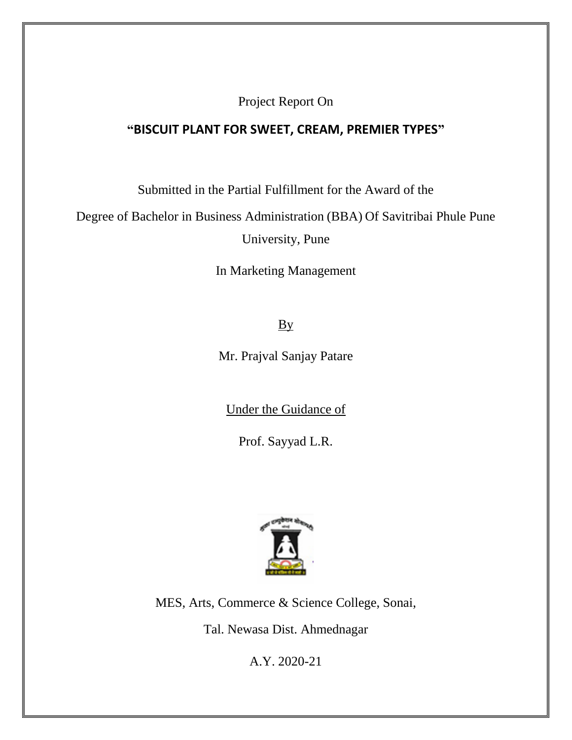Project Report On

#### **"BISCUIT PLANT FOR SWEET, CREAM, PREMIER TYPES"**

Submitted in the Partial Fulfillment for the Award of the

Degree of Bachelor in Business Administration (BBA) Of Savitribai Phule Pune University, Pune

In Marketing Management

By

Mr. Prajval Sanjay Patare

Under the Guidance of

Prof. Sayyad L.R.



MES, Arts, Commerce & Science College, Sonai,

Tal. Newasa Dist. Ahmednagar

A.Y. 2020-21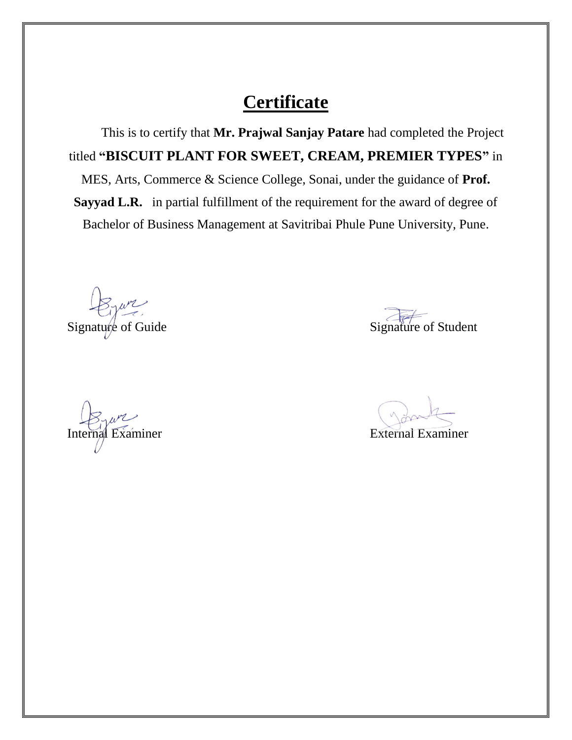## **Certificate**

 This is to certify that **Mr. Prajwal Sanjay Patare** had completed the Project titled **"BISCUIT PLANT FOR SWEET, CREAM, PREMIER TYPES"** in MES, Arts, Commerce & Science College, Sonai, under the guidance of **Prof. Sayyad L.R.** in partial fulfillment of the requirement for the award of degree of Bachelor of Business Management at Savitribai Phule Pune University, Pune.

Internal Examiner External Examiner

Signature of Guide Signature of Student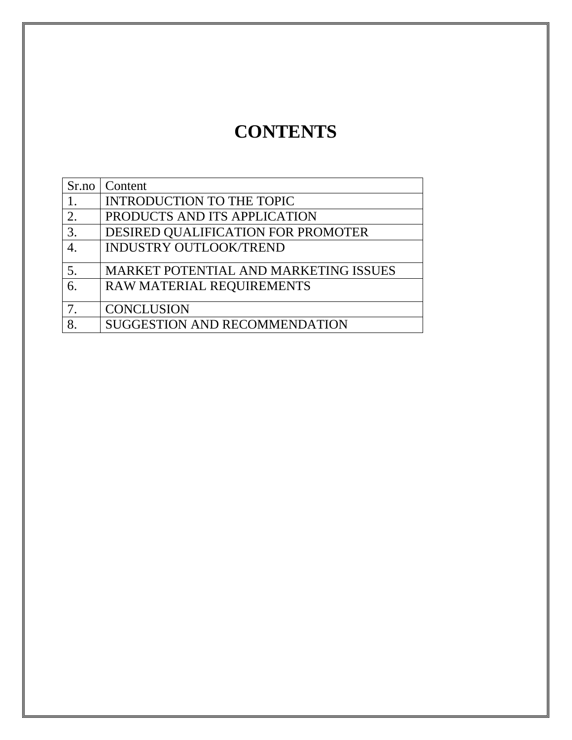# **CONTENTS**

|    | Sr.no   Content                       |
|----|---------------------------------------|
|    | INTRODUCTION TO THE TOPIC             |
| 2. | PRODUCTS AND ITS APPLICATION          |
| 3. | DESIRED QUALIFICATION FOR PROMOTER    |
|    | <b>INDUSTRY OUTLOOK/TREND</b>         |
| 5. | MARKET POTENTIAL AND MARKETING ISSUES |
| 6. | RAW MATERIAL REQUIREMENTS             |
| 7. | <b>CONCLUSION</b>                     |
|    | <b>SUGGESTION AND RECOMMENDATION</b>  |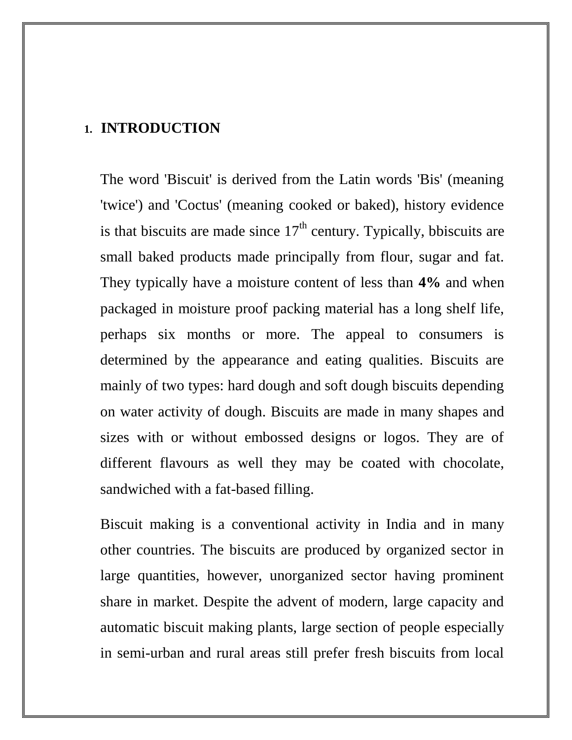#### **1. INTRODUCTION**

The word 'Biscuit' is derived from the Latin words 'Bis' (meaning 'twice') and 'Coctus' (meaning cooked or baked), history evidence is that biscuits are made since  $17<sup>th</sup>$  century. Typically, bbiscuits are small baked products made principally from flour, sugar and fat. They typically have a moisture content of less than **4%** and when packaged in moisture proof packing material has a long shelf life, perhaps six months or more. The appeal to consumers is determined by the appearance and eating qualities. Biscuits are mainly of two types: hard dough and soft dough biscuits depending on water activity of dough. Biscuits are made in many shapes and sizes with or without embossed designs or logos. They are of different flavours as well they may be coated with chocolate, sandwiched with a fat-based filling.

Biscuit making is a conventional activity in India and in many other countries. The biscuits are produced by organized sector in large quantities, however, unorganized sector having prominent share in market. Despite the advent of modern, large capacity and automatic biscuit making plants, large section of people especially in semi-urban and rural areas still prefer fresh biscuits from local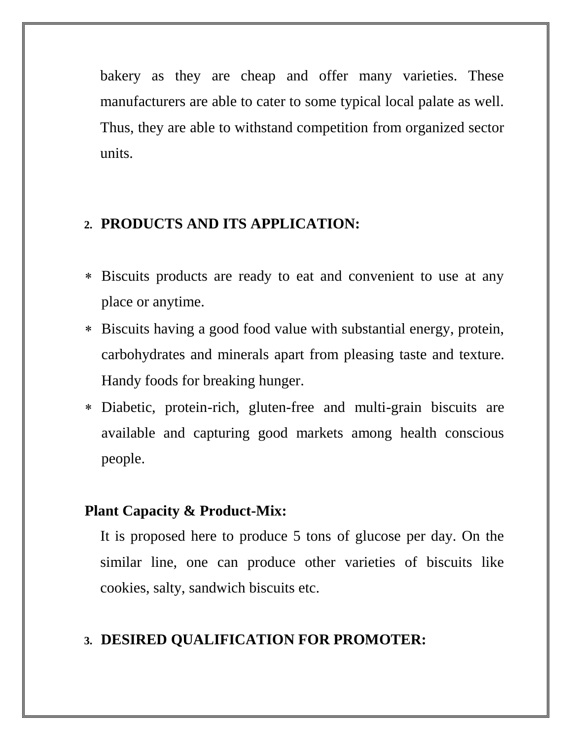bakery as they are cheap and offer many varieties. These manufacturers are able to cater to some typical local palate as well. Thus, they are able to withstand competition from organized sector units.

### **2. PRODUCTS AND ITS APPLICATION:**

- Biscuits products are ready to eat and convenient to use at any place or anytime.
- Biscuits having a good food value with substantial energy, protein, carbohydrates and minerals apart from pleasing taste and texture. Handy foods for breaking hunger.
- Diabetic, protein-rich, gluten-free and multi-grain biscuits are available and capturing good markets among health conscious people.

### **Plant Capacity & Product-Mix:**

It is proposed here to produce 5 tons of glucose per day. On the similar line, one can produce other varieties of biscuits like cookies, salty, sandwich biscuits etc.

### **3. DESIRED QUALIFICATION FOR PROMOTER:**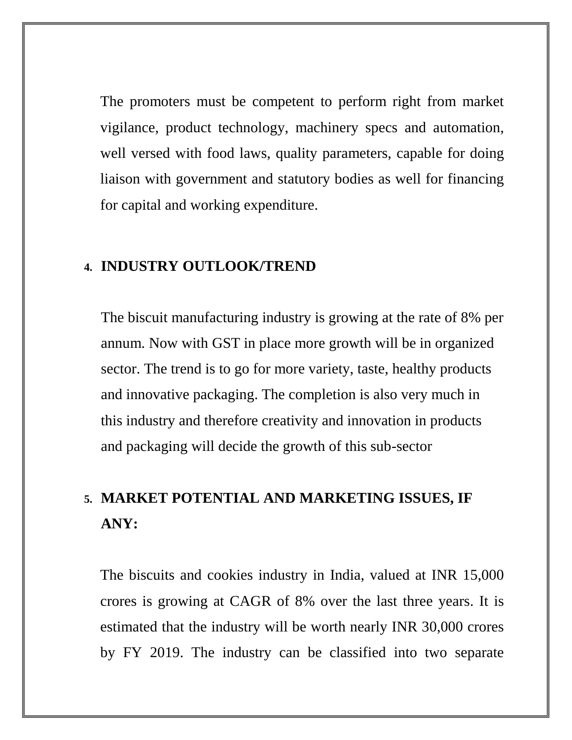The promoters must be competent to perform right from market vigilance, product technology, machinery specs and automation, well versed with food laws, quality parameters, capable for doing liaison with government and statutory bodies as well for financing for capital and working expenditure.

#### **4. INDUSTRY OUTLOOK/TREND**

The biscuit manufacturing industry is growing at the rate of 8% per annum. Now with GST in place more growth will be in organized sector. The trend is to go for more variety, taste, healthy products and innovative packaging. The completion is also very much in this industry and therefore creativity and innovation in products and packaging will decide the growth of this sub-sector

# **5. MARKET POTENTIAL AND MARKETING ISSUES, IF ANY:**

The biscuits and cookies industry in India, valued at INR 15,000 crores is growing at CAGR of 8% over the last three years. It is estimated that the industry will be worth nearly INR 30,000 crores by FY 2019. The industry can be classified into two separate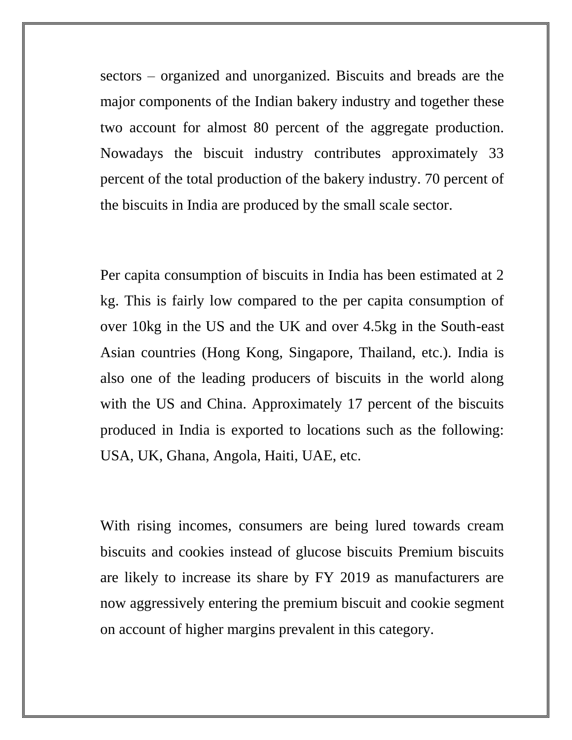sectors – organized and unorganized. Biscuits and breads are the major components of the Indian bakery industry and together these two account for almost 80 percent of the aggregate production. Nowadays the biscuit industry contributes approximately 33 percent of the total production of the bakery industry. 70 percent of the biscuits in India are produced by the small scale sector.

Per capita consumption of biscuits in India has been estimated at 2 kg. This is fairly low compared to the per capita consumption of over 10kg in the US and the UK and over 4.5kg in the South-east Asian countries (Hong Kong, Singapore, Thailand, etc.). India is also one of the leading producers of biscuits in the world along with the US and China. Approximately 17 percent of the biscuits produced in India is exported to locations such as the following: USA, UK, Ghana, Angola, Haiti, UAE, etc.

With rising incomes, consumers are being lured towards cream biscuits and cookies instead of glucose biscuits Premium biscuits are likely to increase its share by FY 2019 as manufacturers are now aggressively entering the premium biscuit and cookie segment on account of higher margins prevalent in this category.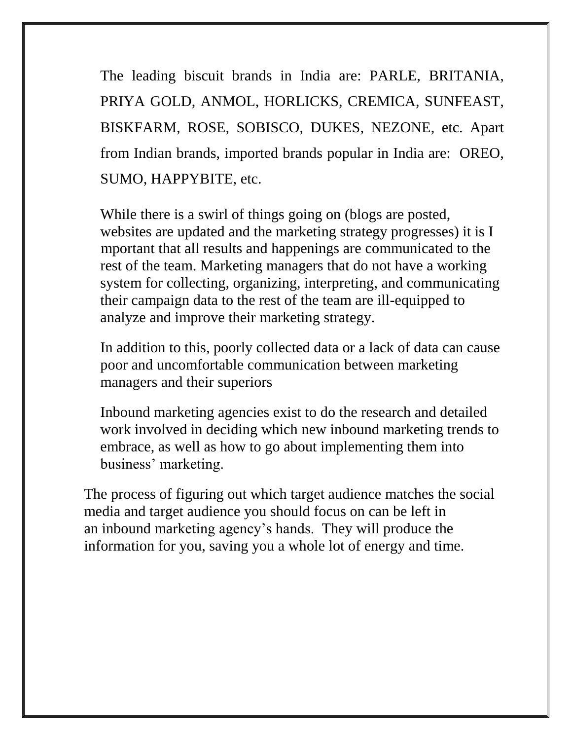The leading biscuit brands in India are: PARLE, BRITANIA, PRIYA GOLD, ANMOL, HORLICKS, CREMICA, SUNFEAST, BISKFARM, ROSE, SOBISCO, DUKES, NEZONE, etc. Apart from Indian brands, imported brands popular in India are: OREO, SUMO, HAPPYBITE, etc.

While there is a swirl of things going on (blogs are posted, websites are updated and the marketing strategy progresses) it is I mportant that all results and happenings are communicated to the rest of the team. Marketing managers that do not have a working system for collecting, organizing, interpreting, and communicating their campaign data to the rest of the team are ill-equipped to analyze and improve their marketing strategy.

In addition to this, poorly collected data or a lack of data can cause poor and uncomfortable communication between marketing managers and their superiors

Inbound marketing agencies exist to do the research and detailed work involved in deciding which new inbound marketing trends to embrace, as well as how to go about implementing them into business' marketing.

The process of figuring out which target audience matches the social media and target audience you should focus on can be left in an inbound marketing agency's hands. They will produce the information for you, saving you a whole lot of energy and time.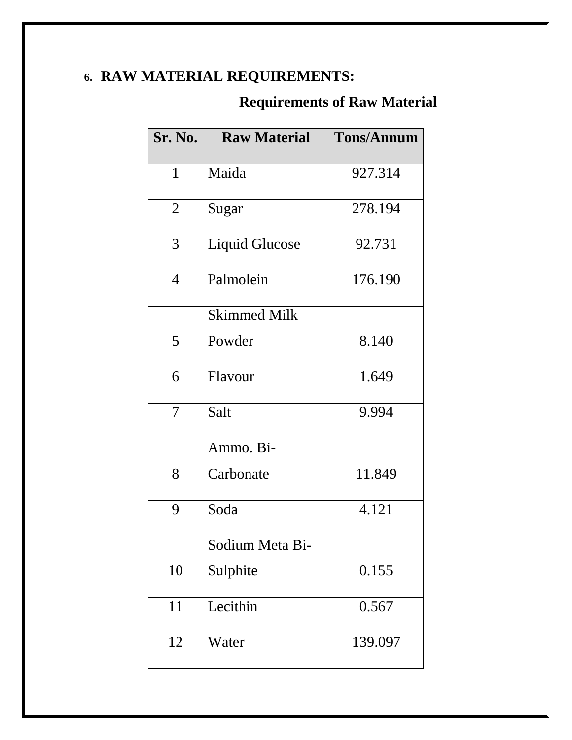# **6. RAW MATERIAL REQUIREMENTS:**

# **Requirements of Raw Material**

| <b>Sr. No.</b> | <b>Raw Material</b>   | <b>Tons/Annum</b> |
|----------------|-----------------------|-------------------|
| 1              | Maida                 | 927.314           |
| $\overline{2}$ | Sugar                 | 278.194           |
| 3              | <b>Liquid Glucose</b> | 92.731            |
| $\overline{4}$ | Palmolein             | 176.190           |
|                | <b>Skimmed Milk</b>   |                   |
| 5              | Powder                | 8.140             |
| 6              | Flavour               | 1.649             |
| 7              | Salt                  | 9.994             |
|                | Ammo. Bi-             |                   |
| 8              | Carbonate             | 11.849            |
| 9              | Soda                  | 4.121             |
|                | Sodium Meta Bi-       |                   |
| 10             | Sulphite              | 0.155             |
| 11             | Lecithin              | 0.567             |
| 12             | Water                 | 139.097           |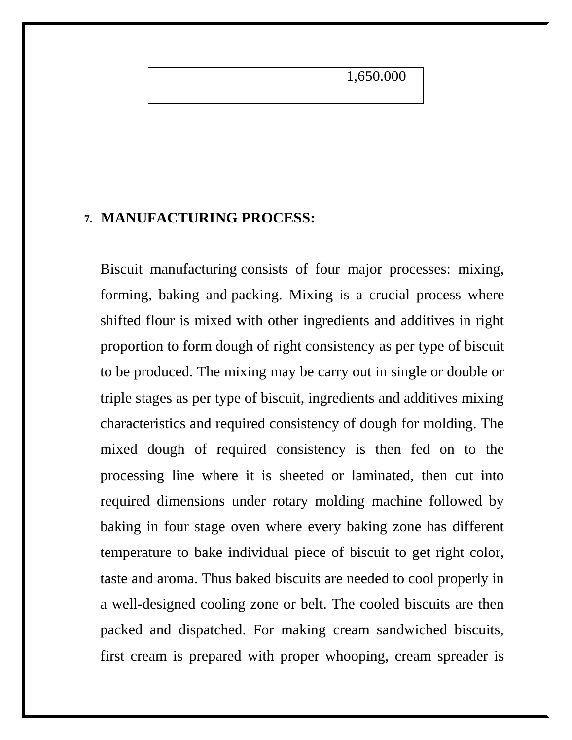|--|

#### **7. MANUFACTURING PROCESS:**

Biscuit manufacturing consists of four major processes: mixing, forming, baking and packing. Mixing is a crucial process where shifted flour is mixed with other ingredients and additives in right proportion to form dough of right consistency as per type of biscuit to be produced. The mixing may be carry out in single or double or triple stages as per type of biscuit, ingredients and additives mixing characteristics and required consistency of dough for molding. The mixed dough of required consistency is then fed on to the processing line where it is sheeted or laminated, then cut into required dimensions under rotary molding machine followed by baking in four stage oven where every baking zone has different temperature to bake individual piece of biscuit to get right color, taste and aroma. Thus baked biscuits are needed to cool properly in a well-designed cooling zone or belt. The cooled biscuits are then packed and dispatched. For making cream sandwiched biscuits, first cream is prepared with proper whooping, cream spreader is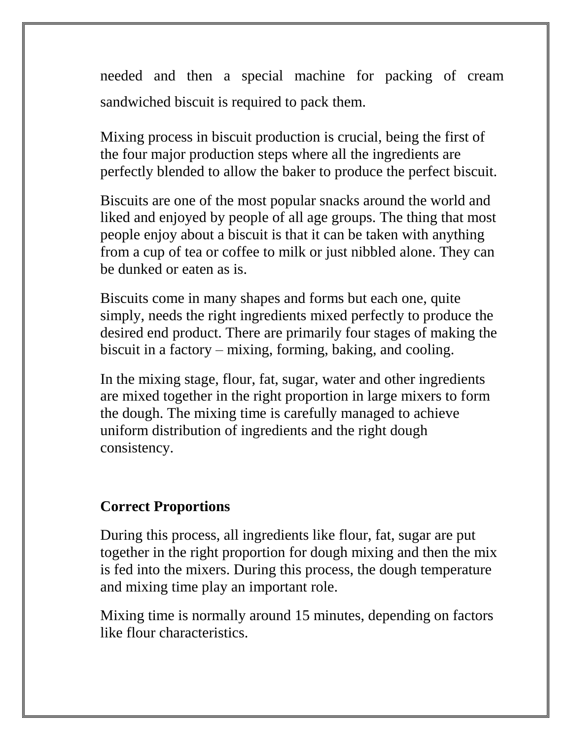needed and then a special machine for packing of cream sandwiched biscuit is required to pack them.

Mixing process in biscuit production is crucial, being the first of the four major production steps where all the ingredients are perfectly blended to allow the baker to produce the perfect biscuit.

Biscuits are one of the most popular snacks around the world and liked and enjoyed by people of all age groups. The thing that most people enjoy about a biscuit is that it can be taken with anything from a cup of tea or coffee to milk or just nibbled alone. They can be dunked or eaten as is.

Biscuits come in many shapes and forms but each one, quite simply, needs the right ingredients mixed perfectly to produce the desired end product. There are primarily four stages of making the biscuit in a factory – mixing, forming, baking, and cooling.

In the mixing stage, flour, fat, sugar, water and other ingredients are mixed together in the right proportion in large mixers to form the dough. The mixing time is carefully managed to achieve uniform distribution of ingredients and the right dough consistency.

### **Correct Proportions**

During this process, all ingredients like flour, fat, sugar are put together in the right proportion for dough mixing and then the mix is fed into the mixers. During this process, the dough temperature and mixing time play an important role.

Mixing time is normally around 15 minutes, depending on factors like flour characteristics.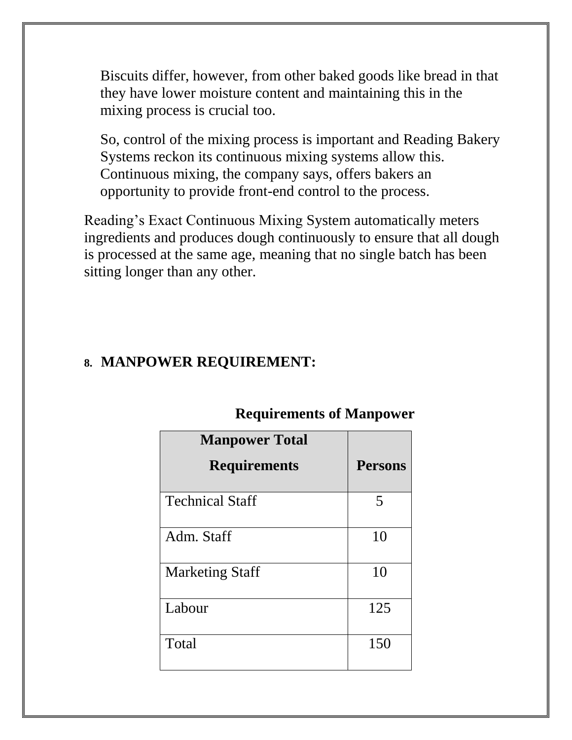Biscuits differ, however, from other baked goods like bread in that they have lower moisture content and maintaining this in the mixing process is crucial too.

So, control of the mixing process is important and [Reading Bakery](https://www.worldbakers.com/process/preventive-maintenance-checklist-industrial-ovens/)  [Systems](https://www.worldbakers.com/process/preventive-maintenance-checklist-industrial-ovens/) reckon its continuous mixing systems allow this. Continuous mixing, the company says, offers bakers an opportunity to provide front-end control to the process.

Reading's Exact Continuous Mixing System automatically meters ingredients and produces dough continuously to ensure that all dough is processed at the same age, meaning that no single batch has been sitting longer than any other.

## **8. MANPOWER REQUIREMENT:**

| <b>Manpower Total</b><br><b>Requirements</b> | <b>Persons</b> |
|----------------------------------------------|----------------|
| <b>Technical Staff</b>                       | 5              |
| Adm. Staff                                   | 10             |
| <b>Marketing Staff</b>                       | 10             |
| Labour                                       | 125            |
| Total                                        | 150            |

## **Requirements of Manpower**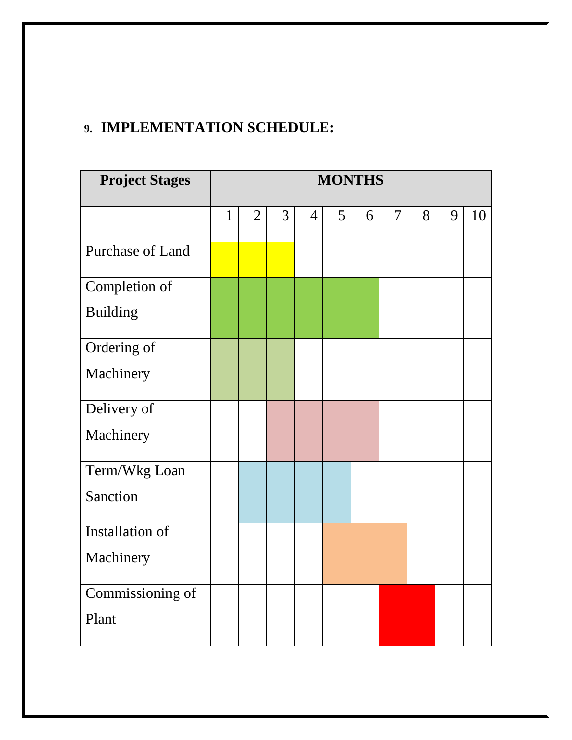## **9. IMPLEMENTATION SCHEDULE:**

| <b>Project Stages</b> | <b>MONTHS</b> |                |   |                |   |   |                |   |   |    |
|-----------------------|---------------|----------------|---|----------------|---|---|----------------|---|---|----|
|                       | $\mathbf{1}$  | $\overline{2}$ | 3 | $\overline{4}$ | 5 | 6 | $\overline{7}$ | 8 | 9 | 10 |
| Purchase of Land      |               |                |   |                |   |   |                |   |   |    |
| Completion of         |               |                |   |                |   |   |                |   |   |    |
| <b>Building</b>       |               |                |   |                |   |   |                |   |   |    |
| Ordering of           |               |                |   |                |   |   |                |   |   |    |
| Machinery             |               |                |   |                |   |   |                |   |   |    |
| Delivery of           |               |                |   |                |   |   |                |   |   |    |
| Machinery             |               |                |   |                |   |   |                |   |   |    |
| Term/Wkg Loan         |               |                |   |                |   |   |                |   |   |    |
| Sanction              |               |                |   |                |   |   |                |   |   |    |
| Installation of       |               |                |   |                |   |   |                |   |   |    |
| Machinery             |               |                |   |                |   |   |                |   |   |    |
| Commissioning of      |               |                |   |                |   |   |                |   |   |    |
| Plant                 |               |                |   |                |   |   |                |   |   |    |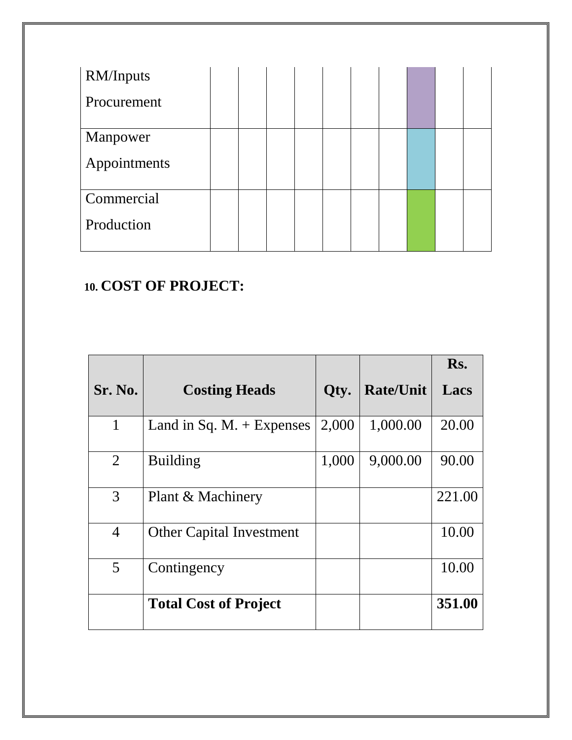| <b>RM/Inputs</b> |  |  |  |  |  |
|------------------|--|--|--|--|--|
| Procurement      |  |  |  |  |  |
| Manpower         |  |  |  |  |  |
| Appointments     |  |  |  |  |  |
| Commercial       |  |  |  |  |  |
| Production       |  |  |  |  |  |

## **10. COST OF PROJECT:**

|                |                                    |       |                  | Rs.    |
|----------------|------------------------------------|-------|------------------|--------|
| <b>Sr. No.</b> | <b>Costing Heads</b>               | Qty.  | <b>Rate/Unit</b> | Lacs   |
| $\mathbf{1}$   | Land in Sq. $M_{\star}$ + Expenses | 2,000 | 1,000.00         | 20.00  |
| 2              | <b>Building</b>                    | 1,000 | 9,000.00         | 90.00  |
| 3              | Plant & Machinery                  |       |                  | 221.00 |
| $\overline{4}$ | <b>Other Capital Investment</b>    |       |                  | 10.00  |
| 5              | Contingency                        |       |                  | 10.00  |
|                | <b>Total Cost of Project</b>       |       |                  | 351.00 |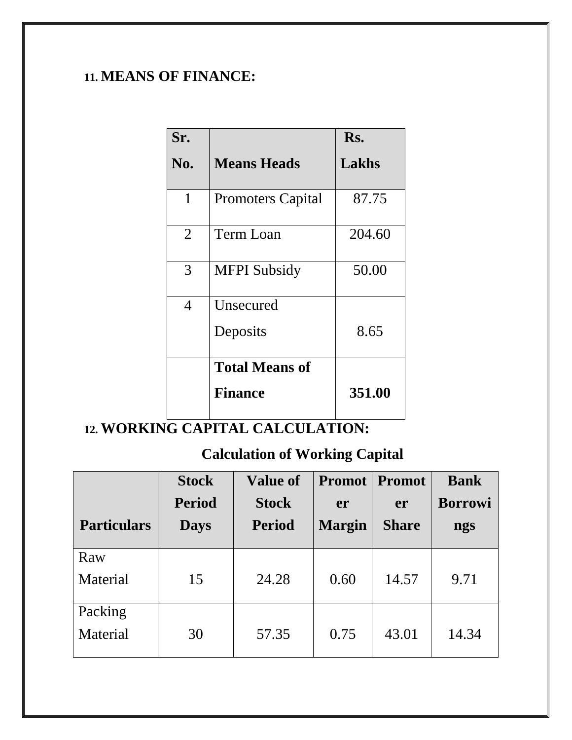## **11. MEANS OF FINANCE:**

| Sr.            |                          | Rs.    |
|----------------|--------------------------|--------|
| No.            | <b>Means Heads</b>       | Lakhs  |
| 1              | <b>Promoters Capital</b> | 87.75  |
| $\overline{2}$ | Term Loan                | 204.60 |
| 3              | <b>MFPI</b> Subsidy      | 50.00  |
| 4              | Unsecured                |        |
|                | Deposits                 | 8.65   |
|                | <b>Total Means of</b>    |        |
|                | <b>Finance</b>           | 351.00 |

# **12. WORKING CAPITAL CALCULATION:**

## **Calculation of Working Capital**

|                    | <b>Stock</b>  | <b>Value of</b> | <b>Promot</b> | <b>Promot</b> | <b>Bank</b>    |
|--------------------|---------------|-----------------|---------------|---------------|----------------|
|                    | <b>Period</b> | <b>Stock</b>    | er            | er            | <b>Borrowi</b> |
| <b>Particulars</b> | <b>Days</b>   | <b>Period</b>   | <b>Margin</b> | <b>Share</b>  | ngs            |
| Raw                |               |                 |               |               |                |
| Material           | 15            | 24.28           | 0.60          | 14.57         | 9.71           |
| Packing            |               |                 |               |               |                |
| Material           | 30            | 57.35           | 0.75          | 43.01         | 14.34          |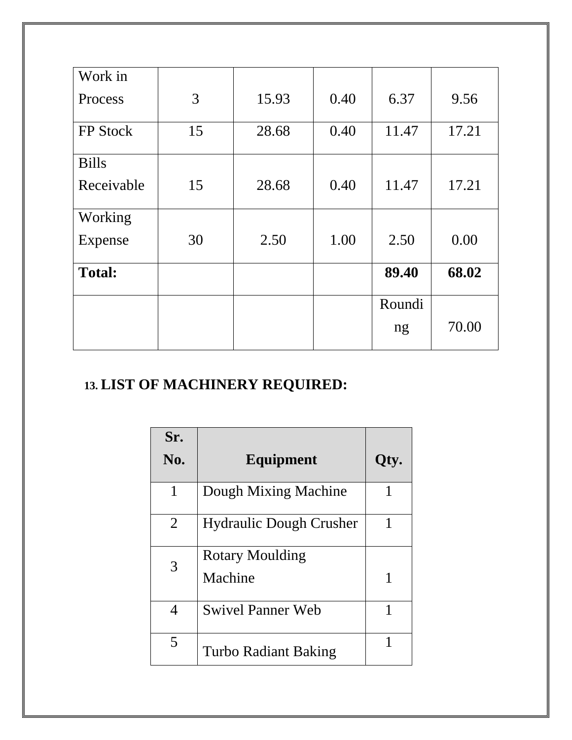| Work in       |    |       |      |        |       |
|---------------|----|-------|------|--------|-------|
| Process       | 3  | 15.93 | 0.40 | 6.37   | 9.56  |
| FP Stock      | 15 | 28.68 | 0.40 | 11.47  | 17.21 |
| <b>Bills</b>  |    |       |      |        |       |
| Receivable    | 15 | 28.68 | 0.40 | 11.47  | 17.21 |
| Working       |    |       |      |        |       |
| Expense       | 30 | 2.50  | 1.00 | 2.50   | 0.00  |
| <b>Total:</b> |    |       |      | 89.40  | 68.02 |
|               |    |       |      | Roundi |       |
|               |    |       |      | ng     | 70.00 |

# **13. LIST OF MACHINERY REQUIRED:**

| Sr.            |                                |      |
|----------------|--------------------------------|------|
| No.            | Equipment                      | Qty. |
| 1              | Dough Mixing Machine           |      |
| $\overline{2}$ | <b>Hydraulic Dough Crusher</b> |      |
| 3              | <b>Rotary Moulding</b>         |      |
|                | Machine                        | 1    |
| 4              | <b>Swivel Panner Web</b>       | 1    |
| 5              | Turbo Radiant Baking           |      |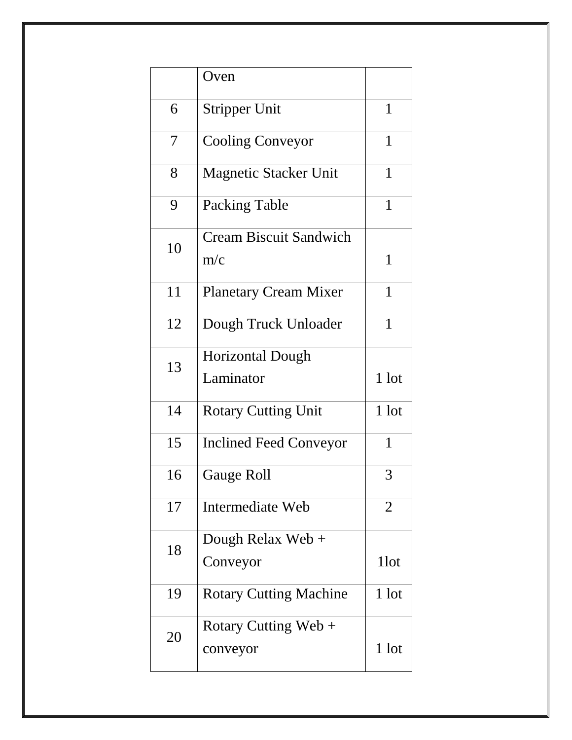|    | Oven                                 |                |
|----|--------------------------------------|----------------|
| 6  | <b>Stripper Unit</b>                 | 1              |
| 7  | <b>Cooling Conveyor</b>              | 1              |
| 8  | <b>Magnetic Stacker Unit</b>         | 1              |
| 9  | Packing Table                        | $\mathbf{1}$   |
| 10 | <b>Cream Biscuit Sandwich</b><br>m/c | $\mathbf{1}$   |
| 11 | <b>Planetary Cream Mixer</b>         | 1              |
| 12 | Dough Truck Unloader                 | $\mathbf{1}$   |
| 13 | <b>Horizontal Dough</b><br>Laminator | 1 lot          |
| 14 | <b>Rotary Cutting Unit</b>           | 1 lot          |
| 15 | <b>Inclined Feed Conveyor</b>        | $\mathbf{1}$   |
| 16 | Gauge Roll                           | 3              |
| 17 | Intermediate Web                     | $\overline{2}$ |
| 18 | Dough Relax Web $+$<br>Conveyor      | 1 lot          |
| 19 | <b>Rotary Cutting Machine</b>        | 1 lot          |
| 20 | Rotary Cutting Web +<br>conveyor     | 1 lot          |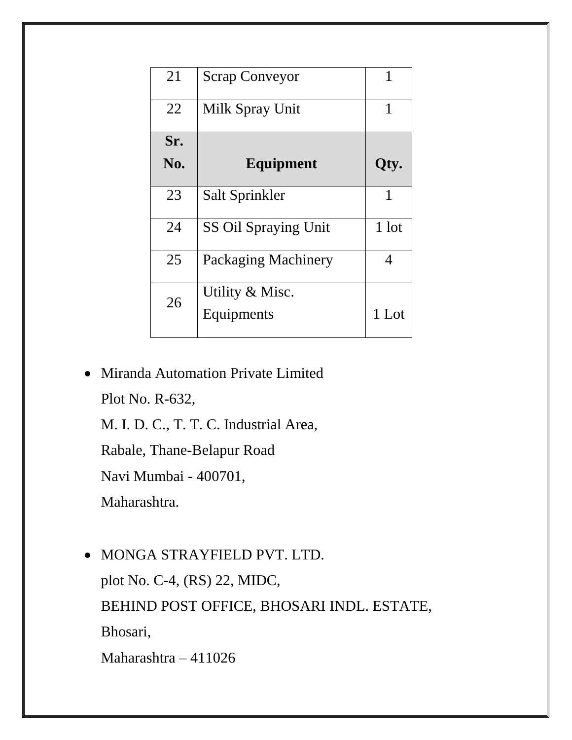| 21  | <b>Scrap Conveyor</b>         | 1     |
|-----|-------------------------------|-------|
| 22  | Milk Spray Unit               | 1     |
| Sr. |                               |       |
| No. | Equipment                     | Qty.  |
| 23  | Salt Sprinkler                | 1     |
| 24  | <b>SS Oil Spraying Unit</b>   | 1 lot |
| 25  | Packaging Machinery           | 4     |
| 26  | Utility & Misc.<br>Equipments | 1 Lot |

• Miranda Automation Private Limited

Plot No. R-632,

M. I. D. C., T. T. C. Industrial Area,

Rabale, Thane-Belapur Road

Navi Mumbai - 400701,

Maharashtra.

• MONGA STRAYFIELD PVT. LTD.

plot No. C-4, (RS) 22, MIDC,

BEHIND POST OFFICE, BHOSARI INDL. ESTATE,

Bhosari,

Maharashtra – 411026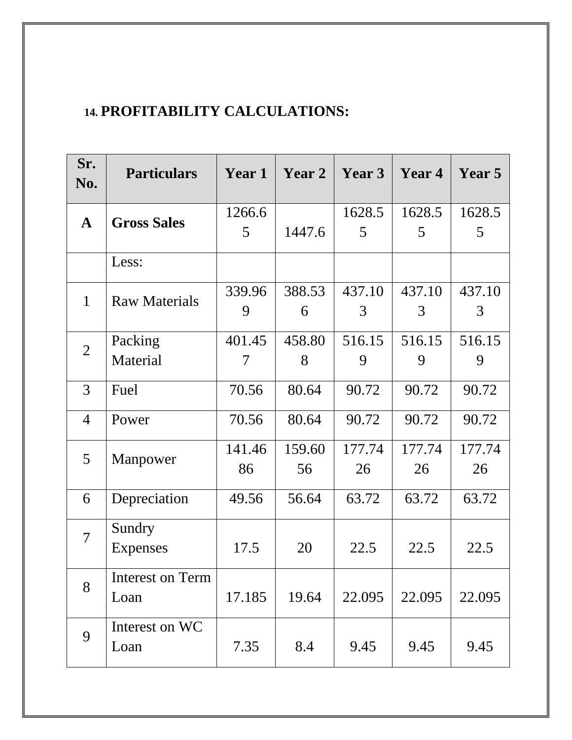## **14. PROFITABILITY CALCULATIONS:**

| Sr.<br>No.     | <b>Particulars</b>   | Year 1 | Year 2 | Year 3 | Year 4 | Year 5 |
|----------------|----------------------|--------|--------|--------|--------|--------|
| $\mathbf{A}$   | <b>Gross Sales</b>   | 1266.6 |        | 1628.5 | 1628.5 | 1628.5 |
|                |                      | 5      | 1447.6 | 5      | 5      | 5      |
|                | Less:                |        |        |        |        |        |
| $\mathbf{1}$   | <b>Raw Materials</b> | 339.96 | 388.53 | 437.10 | 437.10 | 437.10 |
|                |                      | 9      | 6      | 3      | 3      | 3      |
| $\overline{2}$ | Packing              | 401.45 | 458.80 | 516.15 | 516.15 | 516.15 |
|                | Material             | 7      | 8      | 9      | 9      | 9      |
| 3              | Fuel                 | 70.56  | 80.64  | 90.72  | 90.72  | 90.72  |
| $\overline{4}$ | Power                | 70.56  | 80.64  | 90.72  | 90.72  | 90.72  |
| 5              | Manpower             | 141.46 | 159.60 | 177.74 | 177.74 | 177.74 |
|                |                      | 86     | 56     | 26     | 26     | 26     |
| 6              | Depreciation         | 49.56  | 56.64  | 63.72  | 63.72  | 63.72  |
| $\overline{7}$ | Sundry               |        |        |        |        |        |
|                | Expenses             | 17.5   | 20     | 22.5   | 22.5   | 22.5   |
| 8              | Interest on Term     |        |        |        |        |        |
|                | Loan                 | 17.185 | 19.64  | 22.095 | 22.095 | 22.095 |
| 9              | Interest on WC       |        |        |        |        |        |
|                | Loan                 | 7.35   | 8.4    | 9.45   | 9.45   | 9.45   |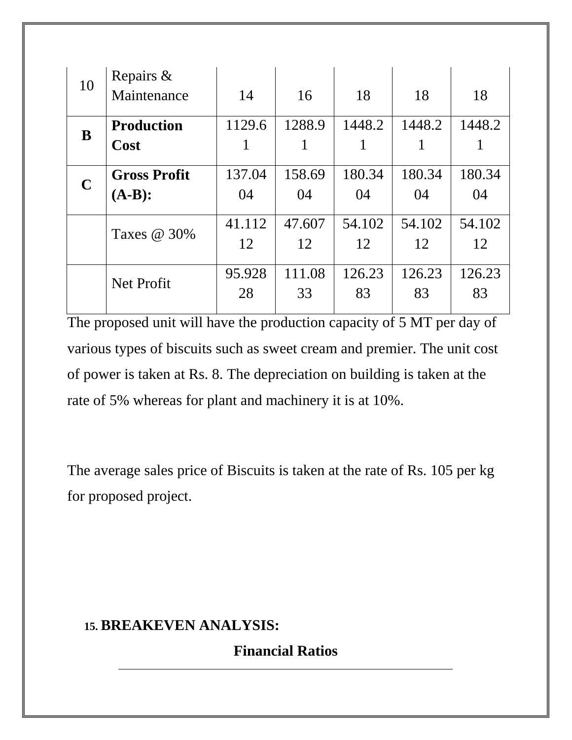| 10          | Repairs &<br>Maintenance | 14     | 16     | 18     | 18     | 18     |
|-------------|--------------------------|--------|--------|--------|--------|--------|
| B           | <b>Production</b>        | 1129.6 | 1288.9 | 1448.2 | 1448.2 | 1448.2 |
|             | <b>Cost</b>              | 1      |        |        |        |        |
| $\mathbf C$ | <b>Gross Profit</b>      | 137.04 | 158.69 | 180.34 | 180.34 | 180.34 |
|             | $(A-B):$                 | 04     | 04     | 04     | 04     | 04     |
|             |                          | 41.112 | 47.607 | 54.102 | 54.102 | 54.102 |
|             | Taxes @ 30%              | 12     | 12     | 12     | 12     | 12     |
|             | Net Profit               | 95.928 | 111.08 | 126.23 | 126.23 | 126.23 |
|             |                          | 28     | 33     | 83     | 83     | 83     |

The proposed unit will have the production capacity of 5 MT per day of various types of biscuits such as sweet cream and premier. The unit cost of power is taken at Rs. 8. The depreciation on building is taken at the rate of 5% whereas for plant and machinery it is at 10%.

The average sales price of Biscuits is taken at the rate of Rs. 105 per kg for proposed project.

## **15. BREAKEVEN ANALYSIS:**

**Financial Ratios**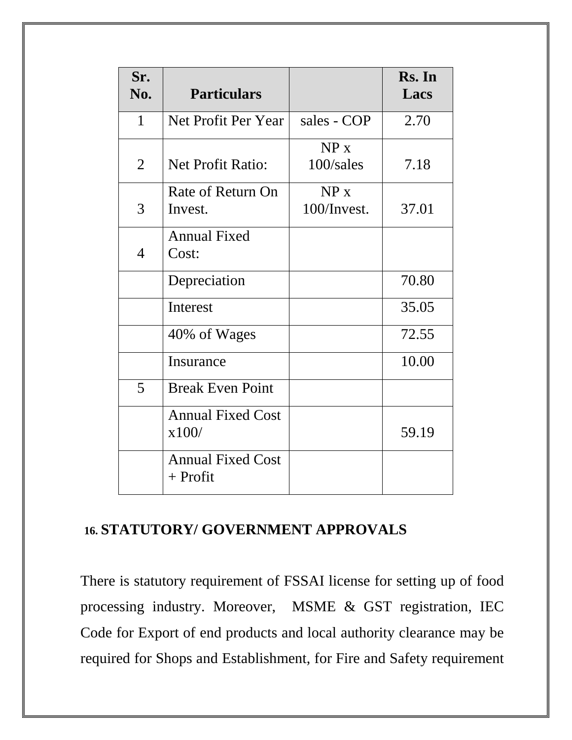| Sr.<br>No.   | <b>Particulars</b>                     |             | Rs. In<br>Lacs |
|--------------|----------------------------------------|-------------|----------------|
| $\mathbf{1}$ | Net Profit Per Year                    | sales - COP | 2.70           |
|              |                                        | NP x        |                |
| 2            | <b>Net Profit Ratio:</b>               | 100/sales   | 7.18           |
|              | Rate of Return On                      | NP x        |                |
| 3            | Invest.                                | 100/Invest. | 37.01          |
|              | <b>Annual Fixed</b>                    |             |                |
| 4            | Cost:                                  |             |                |
|              | Depreciation                           |             | 70.80          |
|              | <b>Interest</b>                        |             | 35.05          |
|              | 40% of Wages                           |             | 72.55          |
|              | Insurance                              |             | 10.00          |
| 5            | <b>Break Even Point</b>                |             |                |
|              | <b>Annual Fixed Cost</b>               |             |                |
|              | x100/                                  |             | 59.19          |
|              | <b>Annual Fixed Cost</b><br>$+$ Profit |             |                |

## **16. STATUTORY/ GOVERNMENT APPROVALS**

There is statutory requirement of FSSAI license for setting up of food processing industry. Moreover, MSME & GST registration, IEC Code for Export of end products and local authority clearance may be required for Shops and Establishment, for Fire and Safety requirement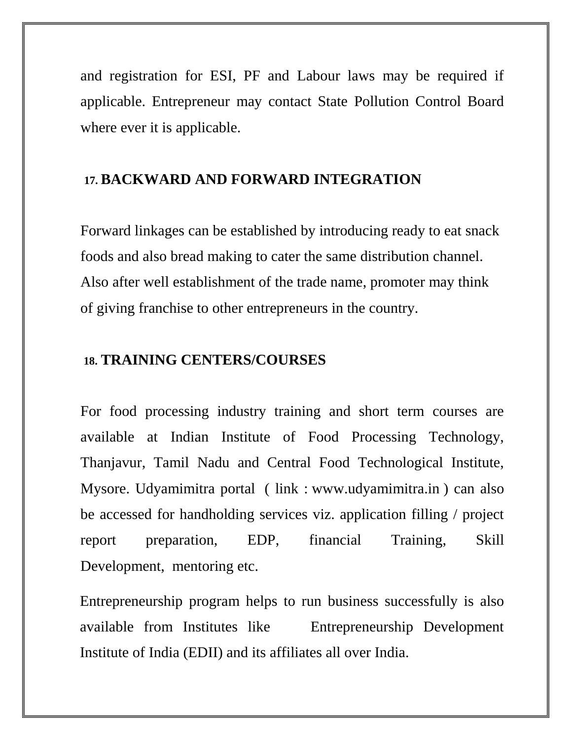and registration for ESI, PF and Labour laws may be required if applicable. Entrepreneur may contact State Pollution Control Board where ever it is applicable.

#### **17. BACKWARD AND FORWARD INTEGRATION**

Forward linkages can be established by introducing ready to eat snack foods and also bread making to cater the same distribution channel. Also after well establishment of the trade name, promoter may think of giving franchise to other entrepreneurs in the country.

#### **18. TRAINING CENTERS/COURSES**

For food processing industry training and short term courses are available at Indian Institute of Food Processing Technology, Thanjavur, Tamil Nadu and Central Food Technological Institute, Mysore. Udyamimitra portal ( link : [www.udyamimitra.in](http://www.udyamimitra.in/) ) can also be accessed for handholding services viz. application filling / project report preparation, EDP, financial Training, Skill Development, mentoring etc.

Entrepreneurship program helps to run business successfully is also available from Institutes like Entrepreneurship Development Institute of India (EDII) and its affiliates all over India.